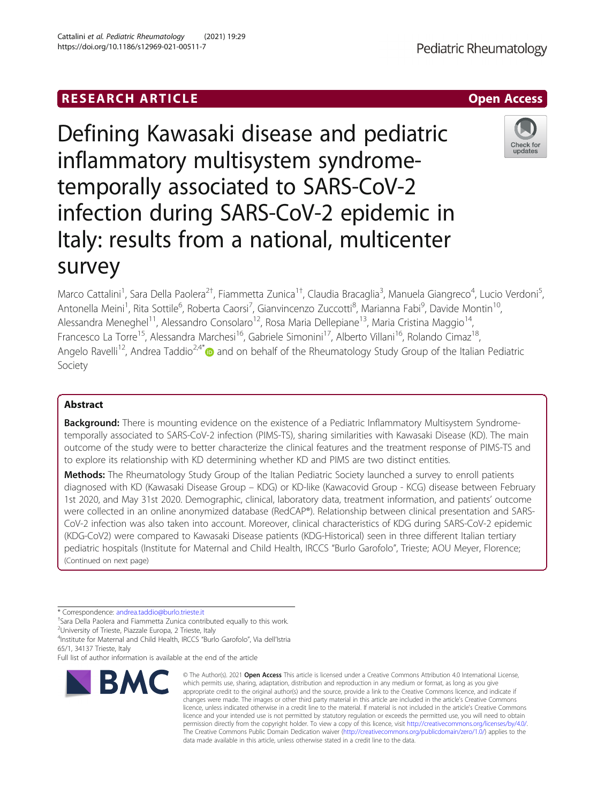# **RESEARCH ARTICLE Example 2018 12:00 Department 2018 12:00 Department 2018 12:00 Department 2018 12:00 Department 2018 12:00 Department 2018 12:00 Department 2018 12:00 Department 2018 12:00 Department 2018 12:00 Departm**

Defining Kawasaki disease and pediatric inflammatory multisystem syndrometemporally associated to SARS-CoV-2 infection during SARS-CoV-2 epidemic in Italy: results from a national, multicenter survey

Marco Cattalini<sup>1</sup>, Sara Della Paolera<sup>2†</sup>, Fiammetta Zunica<sup>1†</sup>, Claudia Bracaglia<sup>3</sup>, Manuela Giangreco<sup>4</sup>, Lucio Verdoni<sup>5</sup> , Antonella Meini<sup>1</sup>, Rita Sottile<sup>6</sup>, Roberta Caorsi<sup>7</sup>, Gianvincenzo Zuccotti<sup>8</sup>, Marianna Fabi<sup>9</sup>, Davide Montin<sup>10</sup>, Alessandra Meneghel<sup>11</sup>, Alessandro Consolaro<sup>12</sup>, Rosa Maria Dellepiane<sup>13</sup>, Maria Cristina Maggio<sup>14</sup>, Francesco La Torre<sup>15</sup>, Alessandra Marchesi<sup>16</sup>, Gabriele Simonini<sup>17</sup>, Alberto Villani<sup>16</sup>, Rolando Cimaz<sup>18</sup>, Angelo Ravelli<sup>12</sup>, Andrea Taddio<sup>2,4\*</sup> and on behalf of the Rheumatology Study Group of the Italian Pediatric Society

## Abstract

**Background:** There is mounting evidence on the existence of a Pediatric Inflammatory Multisystem Syndrometemporally associated to SARS-CoV-2 infection (PIMS-TS), sharing similarities with Kawasaki Disease (KD). The main outcome of the study were to better characterize the clinical features and the treatment response of PIMS-TS and to explore its relationship with KD determining whether KD and PIMS are two distinct entities.

Methods: The Rheumatology Study Group of the Italian Pediatric Society launched a survey to enroll patients diagnosed with KD (Kawasaki Disease Group – KDG) or KD-like (Kawacovid Group - KCG) disease between February 1st 2020, and May 31st 2020. Demographic, clinical, laboratory data, treatment information, and patients' outcome were collected in an online anonymized database (RedCAP®). Relationship between clinical presentation and SARS-CoV-2 infection was also taken into account. Moreover, clinical characteristics of KDG during SARS-CoV-2 epidemic (KDG-CoV2) were compared to Kawasaki Disease patients (KDG-Historical) seen in three different Italian tertiary pediatric hospitals (Institute for Maternal and Child Health, IRCCS "Burlo Garofolo", Trieste; AOU Meyer, Florence; (Continued on next page)

\* Correspondence: [andrea.taddio@burlo.trieste.it](mailto:andrea.taddio@burlo.trieste.it) †

<sup>†</sup>Sara Della Paolera and Fiammetta Zunica contributed equally to this work.

<sup>2</sup>University of Trieste, Piazzale Europa, 2 Trieste, Italy

BMC

4 Institute for Maternal and Child Health, IRCCS "Burlo Garofolo", Via dell'Istria 65/1, 34137 Trieste, Italy

appropriate credit to the original author(s) and the source, provide a link to the Creative Commons licence, and indicate if changes were made. The images or other third party material in this article are included in the article's Creative Commons licence, unless indicated otherwise in a credit line to the material. If material is not included in the article's Creative Commons licence and your intended use is not permitted by statutory regulation or exceeds the permitted use, you will need to obtain permission directly from the copyright holder. To view a copy of this licence, visit [http://creativecommons.org/licenses/by/4.0/.](http://creativecommons.org/licenses/by/4.0/) The Creative Commons Public Domain Dedication waiver [\(http://creativecommons.org/publicdomain/zero/1.0/](http://creativecommons.org/publicdomain/zero/1.0/)) applies to the data made available in this article, unless otherwise stated in a credit line to the data.

© The Author(s), 2021 **Open Access** This article is licensed under a Creative Commons Attribution 4.0 International License, which permits use, sharing, adaptation, distribution and reproduction in any medium or format, as long as you give





Full list of author information is available at the end of the article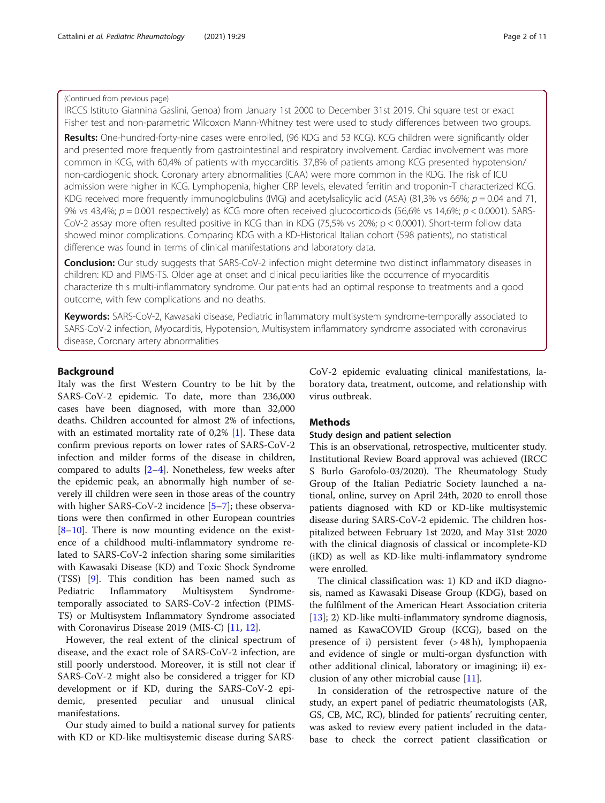## (Continued from previous page)

IRCCS Istituto Giannina Gaslini, Genoa) from January 1st 2000 to December 31st 2019. Chi square test or exact Fisher test and non-parametric Wilcoxon Mann-Whitney test were used to study differences between two groups.

Results: One-hundred-forty-nine cases were enrolled, (96 KDG and 53 KCG). KCG children were significantly older and presented more frequently from gastrointestinal and respiratory involvement. Cardiac involvement was more common in KCG, with 60,4% of patients with myocarditis. 37,8% of patients among KCG presented hypotension/ non-cardiogenic shock. Coronary artery abnormalities (CAA) were more common in the KDG. The risk of ICU admission were higher in KCG. Lymphopenia, higher CRP levels, elevated ferritin and troponin-T characterized KCG. KDG received more frequently immunoglobulins (IVIG) and acetylsalicylic acid (ASA) (81,3% vs 66%;  $p = 0.04$  and 71, 9% vs 43,4%;  $p = 0.001$  respectively) as KCG more often received glucocorticoids (56,6% vs 14,6%;  $p < 0.0001$ ). SARS-CoV-2 assay more often resulted positive in KCG than in KDG (75,5% vs 20%; p < 0.0001). Short-term follow data showed minor complications. Comparing KDG with a KD-Historical Italian cohort (598 patients), no statistical difference was found in terms of clinical manifestations and laboratory data.

**Conclusion:** Our study suggests that SARS-CoV-2 infection might determine two distinct inflammatory diseases in children: KD and PIMS-TS. Older age at onset and clinical peculiarities like the occurrence of myocarditis characterize this multi-inflammatory syndrome. Our patients had an optimal response to treatments and a good outcome, with few complications and no deaths.

Keywords: SARS-CoV-2, Kawasaki disease, Pediatric inflammatory multisystem syndrome-temporally associated to SARS-CoV-2 infection, Myocarditis, Hypotension, Multisystem inflammatory syndrome associated with coronavirus disease, Coronary artery abnormalities

## Background

Italy was the first Western Country to be hit by the SARS-CoV-2 epidemic. To date, more than 236,000 cases have been diagnosed, with more than 32,000 deaths. Children accounted for almost 2% of infections, with an estimated mortality rate of 0,2% [[1](#page-10-0)]. These data confirm previous reports on lower rates of SARS-CoV-2 infection and milder forms of the disease in children, compared to adults [[2](#page-10-0)–[4\]](#page-10-0). Nonetheless, few weeks after the epidemic peak, an abnormally high number of severely ill children were seen in those areas of the country with higher SARS-CoV-2 incidence [[5](#page-10-0)–[7\]](#page-10-0); these observations were then confirmed in other European countries [[8](#page-10-0)–[10\]](#page-10-0). There is now mounting evidence on the existence of a childhood multi-inflammatory syndrome related to SARS-CoV-2 infection sharing some similarities with Kawasaki Disease (KD) and Toxic Shock Syndrome (TSS) [\[9](#page-10-0)]. This condition has been named such as Pediatric Inflammatory Multisystem Syndrometemporally associated to SARS-CoV-2 infection (PIMS-TS) or Multisystem Inflammatory Syndrome associated with Coronavirus Disease 2019 (MIS-C) [[11,](#page-10-0) [12](#page-10-0)].

However, the real extent of the clinical spectrum of disease, and the exact role of SARS-CoV-2 infection, are still poorly understood. Moreover, it is still not clear if SARS-CoV-2 might also be considered a trigger for KD development or if KD, during the SARS-CoV-2 epidemic, presented peculiar and unusual clinical manifestations.

Our study aimed to build a national survey for patients with KD or KD-like multisystemic disease during SARS- CoV-2 epidemic evaluating clinical manifestations, laboratory data, treatment, outcome, and relationship with virus outbreak.

## Methods

## Study design and patient selection

This is an observational, retrospective, multicenter study. Institutional Review Board approval was achieved (IRCC S Burlo Garofolo-03/2020). The Rheumatology Study Group of the Italian Pediatric Society launched a national, online, survey on April 24th, 2020 to enroll those patients diagnosed with KD or KD-like multisystemic disease during SARS-CoV-2 epidemic. The children hospitalized between February 1st 2020, and May 31st 2020 with the clinical diagnosis of classical or incomplete-KD (iKD) as well as KD-like multi-inflammatory syndrome were enrolled.

The clinical classification was: 1) KD and iKD diagnosis, named as Kawasaki Disease Group (KDG), based on the fulfilment of the American Heart Association criteria [[13\]](#page-10-0); 2) KD-like multi-inflammatory syndrome diagnosis, named as KawaCOVID Group (KCG), based on the presence of i) persistent fever (> 48 h), lymphopaenia and evidence of single or multi-organ dysfunction with other additional clinical, laboratory or imagining; ii) exclusion of any other microbial cause [\[11](#page-10-0)].

In consideration of the retrospective nature of the study, an expert panel of pediatric rheumatologists (AR, GS, CB, MC, RC), blinded for patients' recruiting center, was asked to review every patient included in the database to check the correct patient classification or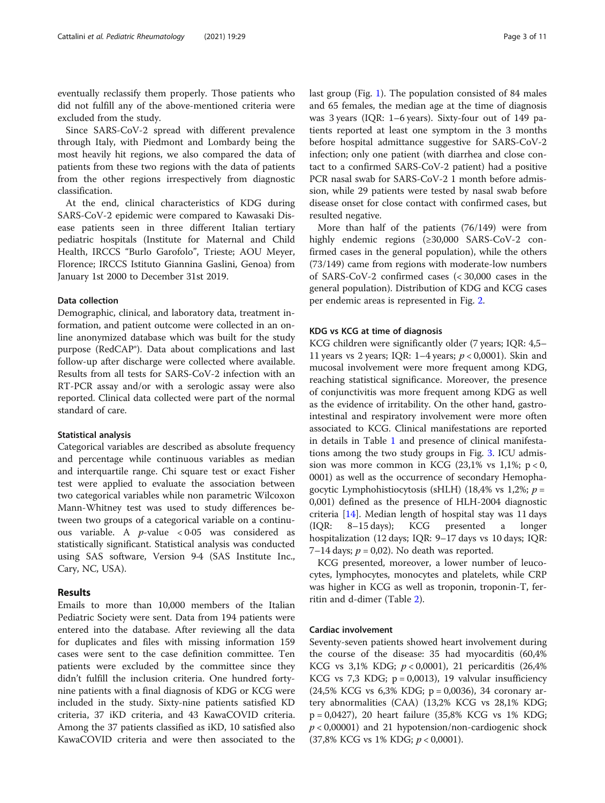eventually reclassify them properly. Those patients who did not fulfill any of the above-mentioned criteria were excluded from the study.

Since SARS-CoV-2 spread with different prevalence through Italy, with Piedmont and Lombardy being the most heavily hit regions, we also compared the data of patients from these two regions with the data of patients from the other regions irrespectively from diagnostic classification.

At the end, clinical characteristics of KDG during SARS-CoV-2 epidemic were compared to Kawasaki Disease patients seen in three different Italian tertiary pediatric hospitals (Institute for Maternal and Child Health, IRCCS "Burlo Garofolo", Trieste; AOU Meyer, Florence; IRCCS Istituto Giannina Gaslini, Genoa) from January 1st 2000 to December 31st 2019.

## Data collection

Demographic, clinical, and laboratory data, treatment information, and patient outcome were collected in an online anonymized database which was built for the study purpose (RedCAP®). Data about complications and last follow-up after discharge were collected where available. Results from all tests for SARS-CoV-2 infection with an RT-PCR assay and/or with a serologic assay were also reported. Clinical data collected were part of the normal standard of care.

#### Statistical analysis

Categorical variables are described as absolute frequency and percentage while continuous variables as median and interquartile range. Chi square test or exact Fisher test were applied to evaluate the association between two categorical variables while non parametric Wilcoxon Mann-Whitney test was used to study differences between two groups of a categorical variable on a continuous variable. A  $p$ -value < 0.05 was considered as statistically significant. Statistical analysis was conducted using SAS software, Version 9·4 (SAS Institute Inc., Cary, NC, USA).

## Results

Emails to more than 10,000 members of the Italian Pediatric Society were sent. Data from 194 patients were entered into the database. After reviewing all the data for duplicates and files with missing information 159 cases were sent to the case definition committee. Ten patients were excluded by the committee since they didn't fulfill the inclusion criteria. One hundred fortynine patients with a final diagnosis of KDG or KCG were included in the study. Sixty-nine patients satisfied KD criteria, 37 iKD criteria, and 43 KawaCOVID criteria. Among the 37 patients classified as iKD, 10 satisfied also KawaCOVID criteria and were then associated to the last group (Fig. [1\)](#page-3-0). The population consisted of 84 males and 65 females, the median age at the time of diagnosis was 3 years (IQR: 1–6 years). Sixty-four out of 149 patients reported at least one symptom in the 3 months before hospital admittance suggestive for SARS-CoV-2 infection; only one patient (with diarrhea and close contact to a confirmed SARS-CoV-2 patient) had a positive PCR nasal swab for SARS-CoV-2 1 month before admission, while 29 patients were tested by nasal swab before disease onset for close contact with confirmed cases, but resulted negative.

More than half of the patients (76/149) were from highly endemic regions (≥30,000 SARS-CoV-2 confirmed cases in the general population), while the others (73/149) came from regions with moderate-low numbers of SARS-CoV-2 confirmed cases (< 30,000 cases in the general population). Distribution of KDG and KCG cases per endemic areas is represented in Fig. [2](#page-3-0).

### KDG vs KCG at time of diagnosis

KCG children were significantly older (7 years; IQR: 4,5– 11 years vs 2 years; IOR:  $1-4$  years;  $p < 0.0001$ ). Skin and mucosal involvement were more frequent among KDG, reaching statistical significance. Moreover, the presence of conjunctivitis was more frequent among KDG as well as the evidence of irritability. On the other hand, gastrointestinal and respiratory involvement were more often associated to KCG. Clinical manifestations are reported in details in Table [1](#page-4-0) and presence of clinical manifestations among the two study groups in Fig. [3.](#page-5-0) ICU admission was more common in KCG  $(23,1\% \text{ vs } 1,1\%; \text{ p} < 0,$ 0001) as well as the occurrence of secondary Hemophagocytic Lymphohistiocytosis (sHLH) (18,4% vs 1,2%;  $p =$ 0,001) defined as the presence of HLH-2004 diagnostic criteria [\[14](#page-10-0)]. Median length of hospital stay was 11 days (IQR: 8–15 days); KCG presented a longer hospitalization (12 days; IQR: 9-17 days vs 10 days; IQR: 7–14 days;  $p = 0.02$ ). No death was reported.

KCG presented, moreover, a lower number of leucocytes, lymphocytes, monocytes and platelets, while CRP was higher in KCG as well as troponin, troponin-T, ferritin and d-dimer (Table [2\)](#page-6-0).

## Cardiac involvement

Seventy-seven patients showed heart involvement during the course of the disease: 35 had myocarditis (60,4% KCG vs 3,1% KDG;  $p < 0,0001$ ), 21 pericarditis (26,4% KCG vs  $7,3$  KDG;  $p = 0,0013$ , 19 valvular insufficiency (24,5% KCG vs 6,3% KDG; p = 0,0036), 34 coronary artery abnormalities (CAA) (13,2% KCG vs 28,1% KDG; p = 0,0427), 20 heart failure (35,8% KCG vs 1% KDG;  $p < 0,00001$ ) and 21 hypotension/non-cardiogenic shock  $(37,8\% \text{ KCG vs } 1\% \text{ KDG}; p < 0,0001).$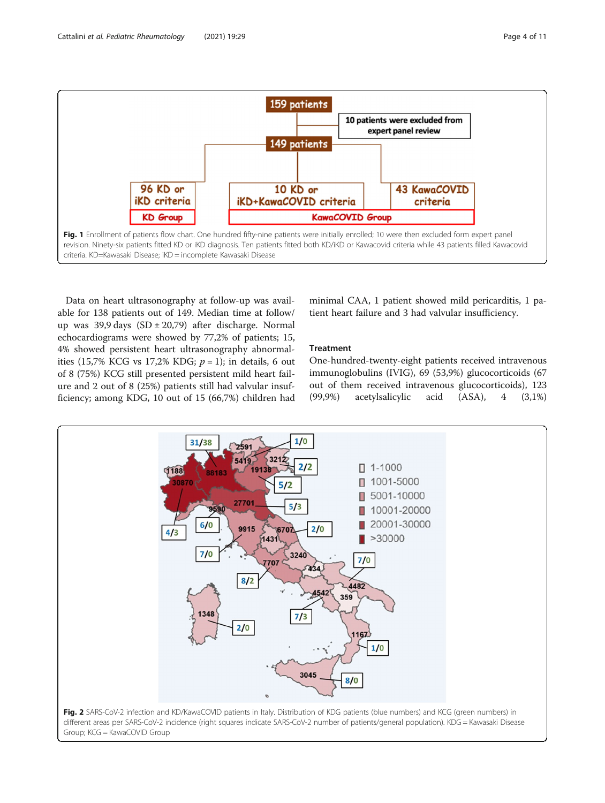<span id="page-3-0"></span>

Data on heart ultrasonography at follow-up was available for 138 patients out of 149. Median time at follow/ up was 39,9 days  $(SD \pm 20,79)$  after discharge. Normal echocardiograms were showed by 77,2% of patients; 15, 4% showed persistent heart ultrasonography abnormalities (15,7% KCG vs 17,2% KDG;  $p = 1$ ); in details, 6 out of 8 (75%) KCG still presented persistent mild heart failure and 2 out of 8 (25%) patients still had valvular insufficiency; among KDG, 10 out of 15 (66,7%) children had minimal CAA, 1 patient showed mild pericarditis, 1 patient heart failure and 3 had valvular insufficiency.

## Treatment

One-hundred-twenty-eight patients received intravenous immunoglobulins (IVIG), 69 (53,9%) glucocorticoids (67 out of them received intravenous glucocorticoids), 123 (99,9%) acetylsalicylic acid (ASA), 4 (3,1%)

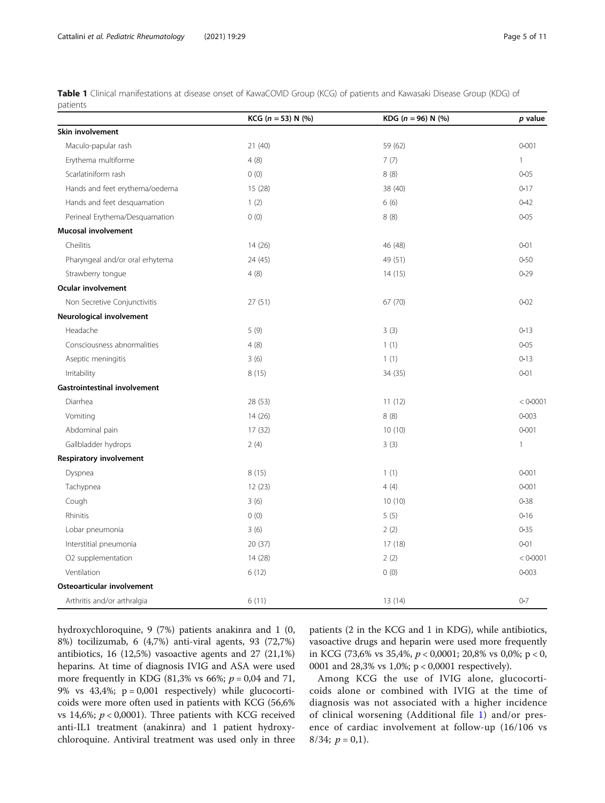<span id="page-4-0"></span>Table 1 Clinical manifestations at disease onset of KawaCOVID Group (KCG) of patients and Kawasaki Disease Group (KDG) of patients

|                                     | KCG ( $n = 53$ ) N (%) | KDG ( $n = 96$ ) N (%) | p value      |
|-------------------------------------|------------------------|------------------------|--------------|
| Skin involvement                    |                        |                        |              |
| Maculo-papular rash                 | 21(40)                 | 59 (62)                | $0 - 001$    |
| Erythema multiforme                 | 4(8)                   | 7(7)                   | $\mathbf{1}$ |
| Scarlatiniform rash                 | 0(0)                   | 8(8)                   | $0 - 05$     |
| Hands and feet erythema/oedema      | 15(28)                 | 38 (40)                | $0 - 17$     |
| Hands and feet desquamation         | 1(2)                   | 6(6)                   | $0 - 42$     |
| Perineal Erythema/Desquamation      | 0(0)                   | 8(8)                   | $0 - 05$     |
| <b>Mucosal involvement</b>          |                        |                        |              |
| Cheilitis                           | 14(26)                 | 46 (48)                | $0 - 01$     |
| Pharyngeal and/or oral erhytema     | 24 (45)                | 49 (51)                | $0 - 50$     |
| Strawberry tongue                   | 4(8)                   | 14(15)                 | $0 - 29$     |
| Ocular involvement                  |                        |                        |              |
| Non Secretive Conjunctivitis        | 27(51)                 | 67(70)                 | $0 - 02$     |
| Neurological involvement            |                        |                        |              |
| Headache                            | 5(9)                   | 3(3)                   | $0 - 13$     |
| Consciousness abnormalities         | 4(8)                   | 1(1)                   | $0 - 05$     |
| Aseptic meningitis                  | 3(6)                   | 1(1)                   | $0 - 13$     |
| Irritability                        | 8(15)                  | 34 (35)                | $0 - 01$     |
| <b>Gastrointestinal involvement</b> |                        |                        |              |
| Diarrhea                            | 28 (53)                | 11(12)                 | < 0.0001     |
| Vomiting                            | 14(26)                 | 8(8)                   | $0 - 003$    |
| Abdominal pain                      | 17(32)                 | 10(10)                 | $0 - 001$    |
| Gallbladder hydrops                 | 2(4)                   | 3(3)                   | $\mathbf{1}$ |
| Respiratory involvement             |                        |                        |              |
| Dyspnea                             | 8(15)                  | 1(1)                   | $0 - 001$    |
| Tachypnea                           | 12(23)                 | 4(4)                   | $0 - 001$    |
| Cough                               | 3(6)                   | 10(10)                 | $0 - 38$     |
| Rhinitis                            | 0(0)                   | 5(5)                   | $0 - 16$     |
| Lobar pneumonia                     | 3(6)                   | 2(2)                   | $0 - 35$     |
| Interstitial pneumonia              | 20(37)                 | 17(18)                 | $0 - 01$     |
| O2 supplementation                  | 14 (28)                | 2(2)                   | < 0.0001     |
| Ventilation                         | 6(12)                  | 0(0)                   | $0 - 003$    |
| Osteoarticular involvement          |                        |                        |              |
| Arthritis and/or arthralgia         | 6(11)                  | 13(14)                 | $0 - 7$      |

hydroxychloroquine, 9 (7%) patients anakinra and 1 (0, 8%) tocilizumab, 6 (4,7%) anti-viral agents, 93 (72,7%) antibiotics, 16 (12,5%) vasoactive agents and 27 (21,1%) heparins. At time of diagnosis IVIG and ASA were used more frequently in KDG (81,3% vs 66%;  $p = 0.04$  and 71, 9% vs  $43,4\%$ ;  $p = 0,001$  respectively) while glucocorticoids were more often used in patients with KCG (56,6% vs 14,6%;  $p < 0,0001$ ). Three patients with KCG received anti-IL1 treatment (anakinra) and 1 patient hydroxychloroquine. Antiviral treatment was used only in three

patients (2 in the KCG and 1 in KDG), while antibiotics, vasoactive drugs and heparin were used more frequently in KCG (73,6% vs 35,4%, p < 0,0001; 20,8% vs 0,0%; p < 0, 0001 and 28,3% vs 1,0%; p < 0,0001 respectively).

Among KCG the use of IVIG alone, glucocorticoids alone or combined with IVIG at the time of diagnosis was not associated with a higher incidence of clinical worsening (Additional file [1](#page-9-0)) and/or presence of cardiac involvement at follow-up (16/106 vs  $8/34$ ;  $p = 0,1$ ).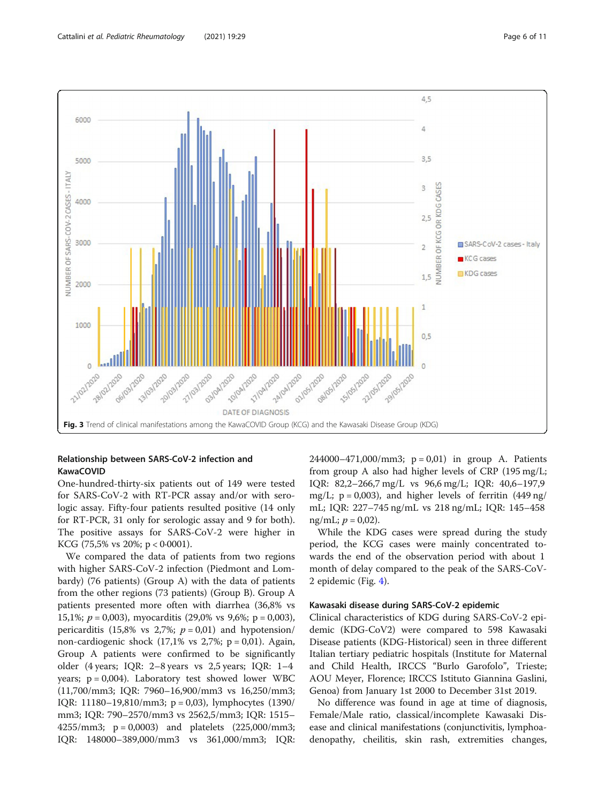

<span id="page-5-0"></span>

## Relationship between SARS-CoV-2 infection and **KawaCOVID**

One-hundred-thirty-six patients out of 149 were tested for SARS-CoV-2 with RT-PCR assay and/or with serologic assay. Fifty-four patients resulted positive (14 only for RT-PCR, 31 only for serologic assay and 9 for both). The positive assays for SARS-CoV-2 were higher in KCG (75,5% vs 20%;  $p < 0.0001$ ).

We compared the data of patients from two regions with higher SARS-CoV-2 infection (Piedmont and Lombardy) (76 patients) (Group A) with the data of patients from the other regions (73 patients) (Group B). Group A patients presented more often with diarrhea (36,8% vs 15,1%;  $p = 0.003$ ), myocarditis (29,0% vs 9,6%;  $p = 0.003$ ), pericarditis (15,8% vs 2,7%;  $p = 0.01$ ) and hypotension/ non-cardiogenic shock  $(17,1\% \text{ vs } 2,7\%; \text{ p} = 0,01)$ . Again, Group A patients were confirmed to be significantly older (4 years; IQR: 2–8 years vs 2,5 years; IQR: 1–4 years;  $p = 0.004$ ). Laboratory test showed lower WBC (11,700/mm3; IQR: 7960–16,900/mm3 vs 16,250/mm3; IQR: 11180–19,810/mm3; p = 0,03), lymphocytes (1390/ mm3; IQR: 790–2570/mm3 vs 2562,5/mm3; IQR: 1515– 4255/mm3; p = 0,0003) and platelets (225,000/mm3; IQR: 148000–389,000/mm3 vs 361,000/mm3; IQR: 244000–471,000/mm3;  $p = 0.01$ ) in group A. Patients from group A also had higher levels of CRP (195 mg/L; IQR: 82,2–266,7 mg/L vs 96,6 mg/L; IQR: 40,6–197,9 mg/L;  $p = 0.003$ ), and higher levels of ferritin  $(449 \text{ ng})$ mL; IQR: 227–745 ng/mL vs 218 ng/mL; IQR: 145–458 ng/mL;  $p = 0.02$ ).

While the KDG cases were spread during the study period, the KCG cases were mainly concentrated towards the end of the observation period with about 1 month of delay compared to the peak of the SARS-CoV-2 epidemic (Fig. [4\)](#page-7-0).

## Kawasaki disease during SARS-CoV-2 epidemic

Clinical characteristics of KDG during SARS-CoV-2 epidemic (KDG-CoV2) were compared to 598 Kawasaki Disease patients (KDG-Historical) seen in three different Italian tertiary pediatric hospitals (Institute for Maternal and Child Health, IRCCS "Burlo Garofolo", Trieste; AOU Meyer, Florence; IRCCS Istituto Giannina Gaslini, Genoa) from January 1st 2000 to December 31st 2019.

No difference was found in age at time of diagnosis, Female/Male ratio, classical/incomplete Kawasaki Disease and clinical manifestations (conjunctivitis, lymphoadenopathy, cheilitis, skin rash, extremities changes,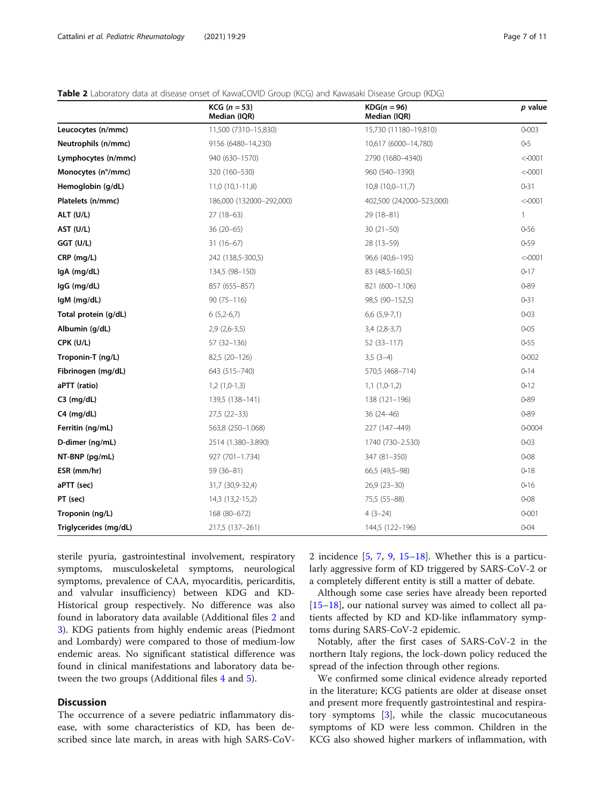## <span id="page-6-0"></span>**Table 2** Laboratory data at disease onset of KawaCOVID Group (KCG) and Kawasaki Disease Group (KDG)

|                       | $KCG (n = 53)$<br>Median (IQR) | $KDG(n=96)$<br>Median (IQR) | p value      |
|-----------------------|--------------------------------|-----------------------------|--------------|
| Leucocytes (n/mmc)    | 11,500 (7310-15,830)           | 15,730 (11180-19,810)       | $0 - 003$    |
| Neutrophils (n/mmc)   | 9156 (6480-14,230)             | 10,617 (6000-14,780)        | $0 - 5$      |
| Lymphocytes (n/mmc)   | 940 (630-1570)                 | 2790 (1680-4340)            | < 0001       |
| Monocytes (n°/mmc)    | 320 (160-530)                  | 960 (540-1390)              | < 0001       |
| Hemoglobin (g/dL)     | $11,0(10,1-11,8)$              | $10,8(10,0-11,7)$           | $0 - 31$     |
| Platelets (n/mmc)     | 186,000 (132000-292,000)       | 402,500 (242000-523,000)    | < 0001       |
| ALT (U/L)             | $27(18-63)$                    | $29(18-81)$                 | $\mathbf{1}$ |
| AST (U/L)             | $36(20-65)$                    | $30(21-50)$                 | 0.56         |
| GGT (U/L)             | $31(16-67)$                    | 28 (13-59)                  | 0.59         |
| CRP (mg/L)            | 242 (138,5-300,5)              | 96,6 (40,6-195)             | < 0001       |
| IgA (mg/dL)           | 134,5 (98-150)                 | 83 (48,5-160,5)             | $0 - 17$     |
| IgG (mg/dL)           | 857 (655-857)                  | 821 (600-1.106)             | $0 - 89$     |
| IgM (mg/dL)           | $90(75 - 116)$                 | 98,5 (90-152,5)             | $0 - 31$     |
| Total protein (g/dL)  | $6(5,2-6,7)$                   | $6,6$ $(5,9-7,1)$           | $0 - 03$     |
| Albumin (g/dL)        | $2,9(2,6-3,5)$                 | $3,4(2,8-3,7)$              | $0 - 05$     |
| CPK (U/L)             | 57 (32-136)                    | $52(33-117)$                | 0.55         |
| Troponin-T (ng/L)     | 82,5 (20-126)                  | $3,5(3-4)$                  | $0 - 002$    |
| Fibrinogen (mg/dL)    | 643 (515-740)                  | 570,5 (468-714)             | 0.14         |
| aPTT (ratio)          | $1,2(1,0-1,3)$                 | $1,1(1,0-1,2)$              | $0 - 12$     |
| $C3$ (mg/dL)          | 139,5 (138-141)                | 138 (121-196)               | $0 - 89$     |
| $C4$ (mg/dL)          | $27,5(22-33)$                  | $36(24 - 46)$               | $0 - 89$     |
| Ferritin (ng/mL)      | 563,8 (250-1.068)              | 227 (147-449)               | $0 - 0004$   |
| D-dimer (ng/mL)       | 2514 (1.380-3.890)             | 1740 (730-2.530)            | $0 - 03$     |
| NT-BNP (pg/mL)        | 927 (701-1.734)                | 347 (81-350)                | $0 - 08$     |
| ESR (mm/hr)           | $59(36-81)$                    | 66,5 (49,5-98)              | $0 - 18$     |
| aPTT (sec)            | 31,7 (30,9-32,4)               | $26,9(23-30)$               | 0.16         |
| PT (sec)              | 14,3 (13,2-15,2)               | 75,5 (55-88)                | $0 - 08$     |
| Troponin (ng/L)       | 168 (80-672)                   | $4(3-24)$                   | $0 - 001$    |
| Triglycerides (mg/dL) | 217,5 (137–261)                | 144,5 (122–196)             | $0 - 04$     |

sterile pyuria, gastrointestinal involvement, respiratory symptoms, musculoskeletal symptoms, neurological symptoms, prevalence of CAA, myocarditis, pericarditis, and valvular insufficiency) between KDG and KD-Historical group respectively. No difference was also found in laboratory data available (Additional files [2](#page-9-0) and [3\)](#page-9-0). KDG patients from highly endemic areas (Piedmont and Lombardy) were compared to those of medium-low endemic areas. No significant statistical difference was found in clinical manifestations and laboratory data between the two groups (Additional files [4](#page-9-0) and [5\)](#page-9-0).

## **Discussion**

The occurrence of a severe pediatric inflammatory disease, with some characteristics of KD, has been described since late march, in areas with high SARS-CoV- 2 incidence [[5,](#page-10-0) [7,](#page-10-0) [9,](#page-10-0) [15](#page-10-0)–[18\]](#page-10-0). Whether this is a particularly aggressive form of KD triggered by SARS-CoV-2 or a completely different entity is still a matter of debate.

Although some case series have already been reported [[15](#page-10-0)–[18](#page-10-0)], our national survey was aimed to collect all patients affected by KD and KD-like inflammatory symptoms during SARS-CoV-2 epidemic.

Notably, after the first cases of SARS-CoV-2 in the northern Italy regions, the lock-down policy reduced the spread of the infection through other regions.

We confirmed some clinical evidence already reported in the literature; KCG patients are older at disease onset and present more frequently gastrointestinal and respiratory symptoms [[3](#page-10-0)], while the classic mucocutaneous symptoms of KD were less common. Children in the KCG also showed higher markers of inflammation, with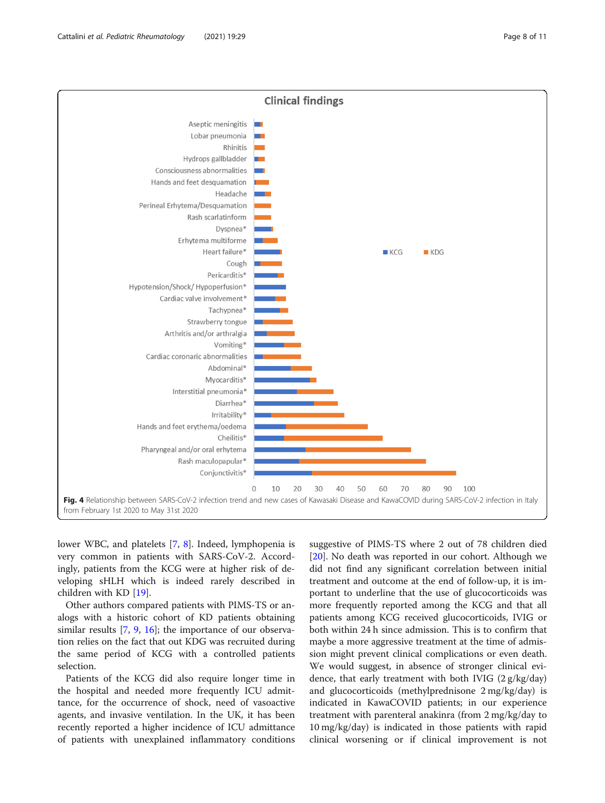<span id="page-7-0"></span>

lower WBC, and platelets [[7,](#page-10-0) [8](#page-10-0)]. Indeed, lymphopenia is very common in patients with SARS-CoV-2. Accordingly, patients from the KCG were at higher risk of developing sHLH which is indeed rarely described in children with KD [[19\]](#page-10-0).

Other authors compared patients with PIMS-TS or analogs with a historic cohort of KD patients obtaining similar results [\[7](#page-10-0), [9,](#page-10-0) [16\]](#page-10-0); the importance of our observation relies on the fact that out KDG was recruited during the same period of KCG with a controlled patients selection.

Patients of the KCG did also require longer time in the hospital and needed more frequently ICU admittance, for the occurrence of shock, need of vasoactive agents, and invasive ventilation. In the UK, it has been recently reported a higher incidence of ICU admittance of patients with unexplained inflammatory conditions suggestive of PIMS-TS where 2 out of 78 children died [[20\]](#page-10-0). No death was reported in our cohort. Although we did not find any significant correlation between initial treatment and outcome at the end of follow-up, it is important to underline that the use of glucocorticoids was more frequently reported among the KCG and that all patients among KCG received glucocorticoids, IVIG or both within 24 h since admission. This is to confirm that maybe a more aggressive treatment at the time of admission might prevent clinical complications or even death. We would suggest, in absence of stronger clinical evidence, that early treatment with both IVIG (2 g/kg/day) and glucocorticoids (methylprednisone 2 mg/kg/day) is indicated in KawaCOVID patients; in our experience treatment with parenteral anakinra (from 2 mg/kg/day to 10 mg/kg/day) is indicated in those patients with rapid clinical worsening or if clinical improvement is not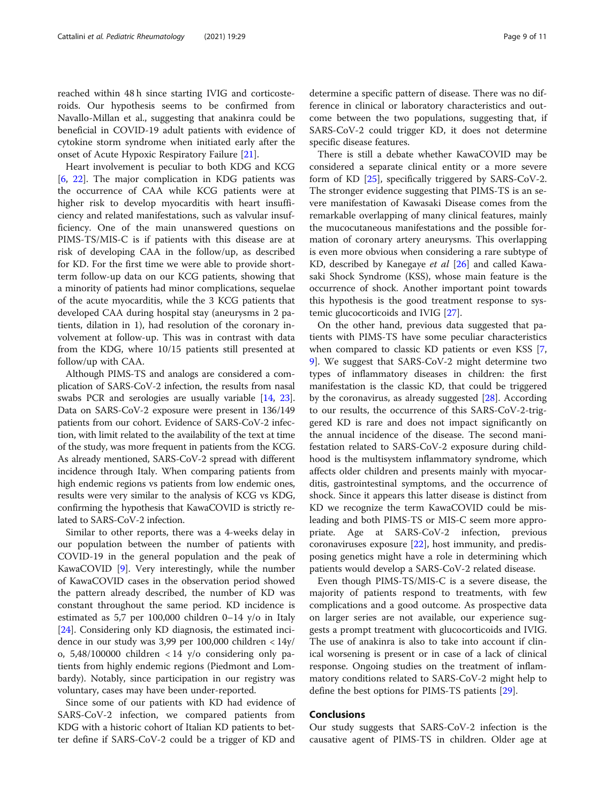reached within 48 h since starting IVIG and corticosteroids. Our hypothesis seems to be confirmed from Navallo-Millan et al., suggesting that anakinra could be beneficial in COVID-19 adult patients with evidence of cytokine storm syndrome when initiated early after the onset of Acute Hypoxic Respiratory Failure [\[21\]](#page-10-0).

Heart involvement is peculiar to both KDG and KCG [[6,](#page-10-0) [22\]](#page-10-0). The major complication in KDG patients was the occurrence of CAA while KCG patients were at higher risk to develop myocarditis with heart insufficiency and related manifestations, such as valvular insufficiency. One of the main unanswered questions on PIMS-TS/MIS-C is if patients with this disease are at risk of developing CAA in the follow/up, as described for KD. For the first time we were able to provide shortterm follow-up data on our KCG patients, showing that a minority of patients had minor complications, sequelae of the acute myocarditis, while the 3 KCG patients that developed CAA during hospital stay (aneurysms in 2 patients, dilation in 1), had resolution of the coronary involvement at follow-up. This was in contrast with data from the KDG, where 10/15 patients still presented at follow/up with CAA.

Although PIMS-TS and analogs are considered a complication of SARS-CoV-2 infection, the results from nasal swabs PCR and serologies are usually variable [\[14,](#page-10-0) [23](#page-10-0)]. Data on SARS-CoV-2 exposure were present in 136/149 patients from our cohort. Evidence of SARS-CoV-2 infection, with limit related to the availability of the text at time of the study, was more frequent in patients from the KCG. As already mentioned, SARS-CoV-2 spread with different incidence through Italy. When comparing patients from high endemic regions vs patients from low endemic ones, results were very similar to the analysis of KCG vs KDG, confirming the hypothesis that KawaCOVID is strictly related to SARS-CoV-2 infection.

Similar to other reports, there was a 4-weeks delay in our population between the number of patients with COVID-19 in the general population and the peak of KawaCOVID [\[9](#page-10-0)]. Very interestingly, while the number of KawaCOVID cases in the observation period showed the pattern already described, the number of KD was constant throughout the same period. KD incidence is estimated as 5,7 per 100,000 children 0–14 y/o in Italy [[24\]](#page-10-0). Considering only KD diagnosis, the estimated incidence in our study was 3,99 per 100,000 children < 14y/ o,  $5,48/100000$  children < 14 y/o considering only patients from highly endemic regions (Piedmont and Lombardy). Notably, since participation in our registry was voluntary, cases may have been under-reported.

Since some of our patients with KD had evidence of SARS-CoV-2 infection, we compared patients from KDG with a historic cohort of Italian KD patients to better define if SARS-CoV-2 could be a trigger of KD and determine a specific pattern of disease. There was no difference in clinical or laboratory characteristics and outcome between the two populations, suggesting that, if SARS-CoV-2 could trigger KD, it does not determine specific disease features.

There is still a debate whether KawaCOVID may be considered a separate clinical entity or a more severe form of KD [[25](#page-10-0)], specifically triggered by SARS-CoV-2. The stronger evidence suggesting that PIMS-TS is an severe manifestation of Kawasaki Disease comes from the remarkable overlapping of many clinical features, mainly the mucocutaneous manifestations and the possible formation of coronary artery aneurysms. This overlapping is even more obvious when considering a rare subtype of KD, described by Kanegaye et al [\[26](#page-10-0)] and called Kawasaki Shock Syndrome (KSS), whose main feature is the occurrence of shock. Another important point towards this hypothesis is the good treatment response to systemic glucocorticoids and IVIG [[27\]](#page-10-0).

On the other hand, previous data suggested that patients with PIMS-TS have some peculiar characteristics when compared to classic KD patients or even KSS [\[7](#page-10-0), [9\]](#page-10-0). We suggest that SARS-CoV-2 might determine two types of inflammatory diseases in children: the first manifestation is the classic KD, that could be triggered by the coronavirus, as already suggested  $[28]$  $[28]$  $[28]$ . According to our results, the occurrence of this SARS-CoV-2-triggered KD is rare and does not impact significantly on the annual incidence of the disease. The second manifestation related to SARS-CoV-2 exposure during childhood is the multisystem inflammatory syndrome, which affects older children and presents mainly with myocarditis, gastrointestinal symptoms, and the occurrence of shock. Since it appears this latter disease is distinct from KD we recognize the term KawaCOVID could be misleading and both PIMS-TS or MIS-C seem more appropriate. Age at SARS-CoV-2 infection, previous coronaviruses exposure [\[22](#page-10-0)], host immunity, and predisposing genetics might have a role in determining which patients would develop a SARS-CoV-2 related disease.

Even though PIMS-TS/MIS-C is a severe disease, the majority of patients respond to treatments, with few complications and a good outcome. As prospective data on larger series are not available, our experience suggests a prompt treatment with glucocorticoids and IVIG. The use of anakinra is also to take into account if clinical worsening is present or in case of a lack of clinical response. Ongoing studies on the treatment of inflammatory conditions related to SARS-CoV-2 might help to define the best options for PIMS-TS patients [[29\]](#page-10-0).

## Conclusions

Our study suggests that SARS-CoV-2 infection is the causative agent of PIMS-TS in children. Older age at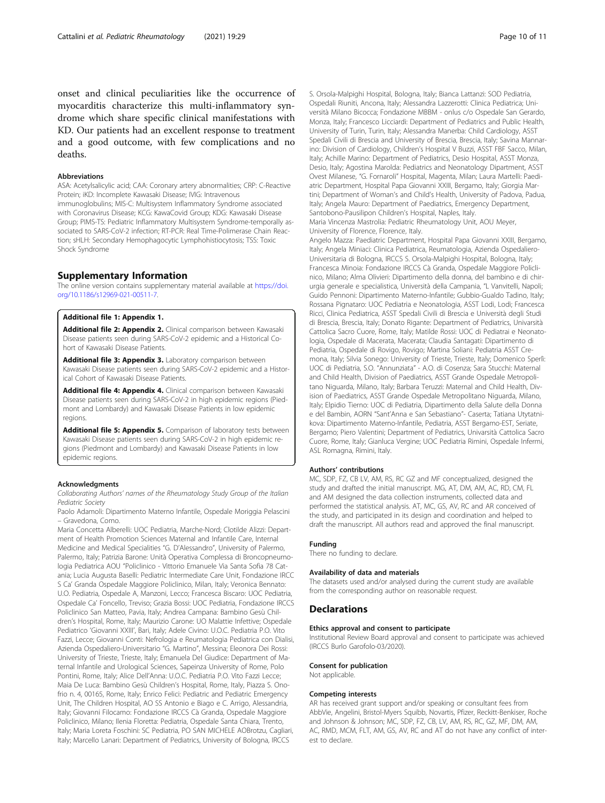<span id="page-9-0"></span>onset and clinical peculiarities like the occurrence of myocarditis characterize this multi-inflammatory syndrome which share specific clinical manifestations with KD. Our patients had an excellent response to treatment and a good outcome, with few complications and no deaths.

### Abbreviations

ASA: Acetylsalicylic acid; CAA: Coronary artery abnormalities; CRP: C-Reactive Protein; iKD: Incomplete Kawasaki Disease; IVIG: Intravenous immunoglobulins; MIS-C: Multisystem Inflammatory Syndrome associated with Coronavirus Disease; KCG: KawaCovid Group; KDG: Kawasaki Disease Group; PIMS-TS: Pediatric Inflammatory Multisystem Syndrome-temporally associated to SARS-CoV-2 infection; RT-PCR: Real Time-Polimerase Chain Reaction; sHLH: Secondary Hemophagocytic Lymphohistiocytosis; TSS: Toxic Shock Syndrome

## Supplementary Information

The online version contains supplementary material available at [https://doi.](https://doi.org/10.1186/s12969-021-00511-7) [org/10.1186/s12969-021-00511-7.](https://doi.org/10.1186/s12969-021-00511-7)

#### Additional file 1: Appendix 1.

Additional file 2: Appendix 2. Clinical comparison between Kawasaki Disease patients seen during SARS-CoV-2 epidemic and a Historical Cohort of Kawasaki Disease Patients.

Additional file 3: Appendix 3. Laboratory comparison between Kawasaki Disease patients seen during SARS-CoV-2 epidemic and a Historical Cohort of Kawasaki Disease Patients.

Additional file 4: Appendix 4. Clinical comparison between Kawasaki Disease patients seen during SARS-CoV-2 in high epidemic regions (Piedmont and Lombardy) and Kawasaki Disease Patients in low epidemic regions.

Additional file 5: Appendix 5. Comparison of laboratory tests between Kawasaki Disease patients seen during SARS-CoV-2 in high epidemic regions (Piedmont and Lombardy) and Kawasaki Disease Patients in low epidemic regions.

#### Acknowledgments

Collaborating Authors' names of the Rheumatology Study Group of the Italian Pediatric Society

Paolo Adamoli: Dipartimento Materno Infantile, Ospedale Moriggia Pelascini – Gravedona, Como.

Maria Concetta Alberelli: UOC Pediatria, Marche-Nord; Clotilde Alizzi: Department of Health Promotion Sciences Maternal and Infantile Care, Internal Medicine and Medical Specialities "G. D'Alessandro", University of Palermo, Palermo, Italy; Patrizia Barone: Unità Operativa Complessa di Broncopneumologia Pediatrica AOU "Policlinico - Vittorio Emanuele Via Santa Sofia 78 Catania; Lucia Augusta Baselli: Pediatric Intermediate Care Unit, Fondazione IRCC S Ca' Granda Ospedale Maggiore Policlinico, Milan, Italy; Veronica Bennato: U.O. Pediatria, Ospedale A, Manzoni, Lecco; Francesca Biscaro: UOC Pediatria, Ospedale Ca' Foncello, Treviso; Grazia Bossi: UOC Pediatria, Fondazione IRCCS Policlinico San Matteo, Pavia, Italy; Andrea Campana: Bambino Gesù Children's Hospital, Rome, Italy; Maurizio Carone: UO Malattie Infettive; Ospedale Pediatrico 'Giovanni XXIII', Bari, Italy; Adele Civino: U.O.C. Pediatria P.O. Vito Fazzi, Lecce; Giovanni Conti: Nefrologia e Reumatologia Pediatrica con Dialisi, Azienda Ospedaliero-Universitario "G. Martino", Messina; Eleonora Dei Rossi: University of Trieste, Trieste, Italy; Emanuela Del Giudice: Department of Maternal Infantile and Urological Sciences, Sapeinza University of Rome, Polo Pontini, Rome, Italy; Alice Dell'Anna: U.O.C. Pediatria P.O. Vito Fazzi Lecce; Maia De Luca: Bambino Gesù Children's Hospital, Rome, Italy, Piazza S. Onofrio n. 4, 00165, Rome, Italy; Enrico Felici: Pediatric and Pediatric Emergency Unit, The Children Hospital, AO SS Antonio e Biago e C. Arrigo, Alessandria, Italy; Giovanni Filocamo: Fondazione IRCCS Cà Granda, Ospedale Maggiore Policlinico, Milano; Ilenia Floretta: Pediatria, Ospedale Santa Chiara, Trento, Italy; Maria Loreta Foschini: SC Pediatria, PO SAN MICHELE AOBrotzu, Cagliari, Italy; Marcello Lanari: Department of Pediatrics, University of Bologna, IRCCS

S. Orsola-Malpighi Hospital, Bologna, Italy; Bianca Lattanzi: SOD Pediatria, Ospedali Riuniti, Ancona, Italy; Alessandra Lazzerotti: Clinica Pediatrica; Università Milano Bicocca; Fondazione MBBM - onlus c/o Ospedale San Gerardo, Monza, Italy; Francesco Licciardi: Department of Pediatrics and Public Health, University of Turin, Turin, Italy; Alessandra Manerba: Child Cardiology, ASST Spedali Civili di Brescia and University of Brescia, Brescia, Italy; Savina Mannarino: Division of Cardiology, Children's Hospital V Buzzi, ASST FBF Sacco, Milan, Italy; Achille Marino: Department of Pediatrics, Desio Hospital, ASST Monza, Desio, Italy; Agostina Marolda: Pediatrics and Neonatology Dipartment, ASST Ovest Milanese, "G. Fornaroli" Hospital, Magenta, Milan; Laura Martelli: Paediatric Department, Hospital Papa Giovanni XXIII, Bergamo, Italy; Giorgia Martini; Department of Woman's and Child's Health, University of Padova, Padua, Italy; Angela Mauro: Department of Paediatrics, Emergency Department, Santobono-Pausilipon Children's Hospital, Naples, Italy.

Maria Vincenza Mastrolia: Pediatric Rheumatology Unit, AOU Meyer, University of Florence, Florence, Italy.

Angelo Mazza: Paediatric Department, Hospital Papa Giovanni XXIII, Bergamo, Italy; Angela Miniaci: Clinica Pediatrica, Reumatologia, Azienda Ospedaliero-Universitaria di Bologna, IRCCS S. Orsola-Malpighi Hospital, Bologna, Italy; Francesca Minoia: Fondazione IRCCS Cà Granda, Ospedale Maggiore Policlinico, Milano; Alma Olivieri: Dipartimento della donna, del bambino e di chirurgia generale e specialistica, Università della Campania, "L Vanvitelli, Napoli; Guido Pennoni: Dipartimento Materno-Infantile; Gubbio-Gualdo Tadino, Italy; Rossana Pignataro: UOC Pediatria e Neonatologia, ASST Lodi, Lodi; Francesca Ricci, Clinica Pediatrica, ASST Spedali Civili di Brescia e Università degli Studi di Brescia, Brescia, Italy; Donato Rigante: Department of Pediatrics, Univarsità Cattolica Sacro Cuore, Rome, Italy; Matilde Rossi: UOC di Pediatrai e Neonatologia, Ospedale di Macerata, Macerata; Claudia Santagati: Dipartimento di Pediatria, Ospedale di Rovigo, Rovigo; Martina Soliani: Pediatria ASST Cremona, Italy; Silvia Sonego: University of Trieste, Trieste, Italy; Domenico Sperlì: UOC di Pediatria, S.O. "Annunziata" - A.O. di Cosenza; Sara Stucchi: Maternal and Child Health, Division of Paediatrics, ASST Grande Ospedale Metropolitano Niguarda, Milano, Italy; Barbara Teruzzi: Maternal and Child Health, Division of Paediatrics, ASST Grande Ospedale Metropolitano Niguarda, Milano, Italy; Elpidio Tierno: UOC di Pediatria, Dipartimento della Salute della Donna e del Bambin, AORN "Sant'Anna e San Sebastiano"- Caserta; Tatiana Utytatnikova: Dipartimento Materno-Infantile, Pediatria, ASST Bergamo-EST, Seriate, Bergamo; Piero Valentini; Department of Pediatrics, Univarsità Cattolica Sacro Cuore, Rome, Italy; Gianluca Vergine; UOC Pediatria Rimini, Ospedale Infermi, ASL Romagna, Rimini, Italy.

#### Authors' contributions

MC, SDP, FZ, CB LV, AM, RS, RC GZ and MF conceptualized, designed the study and drafted the initial manuscript. MG, AT, DM, AM, AC, RD, CM, FL and AM designed the data collection instruments, collected data and performed the statistical analysis. AT, MC, GS, AV, RC and AR conceived of the study, and participated in its design and coordination and helped to draft the manuscript. All authors read and approved the final manuscript.

#### Funding

There no funding to declare.

#### Availability of data and materials

The datasets used and/or analysed during the current study are available from the corresponding author on reasonable request.

#### Declarations

#### Ethics approval and consent to participate

Institutional Review Board approval and consent to participate was achieved (IRCCS Burlo Garofolo-03/2020).

#### Consent for publication

Not applicable.

#### Competing interests

AR has received grant support and/or speaking or consultant fees from AbbVie, Angelini, Bristol-Myers Squibb, Novartis, Pfizer, Reckitt-Benkiser, Roche and Johnson & Johnson; MC, SDP, FZ, CB, LV, AM, RS, RC, GZ, MF, DM, AM, AC, RMD, MCM, FLT, AM, GS, AV, RC and AT do not have any conflict of interest to declare.